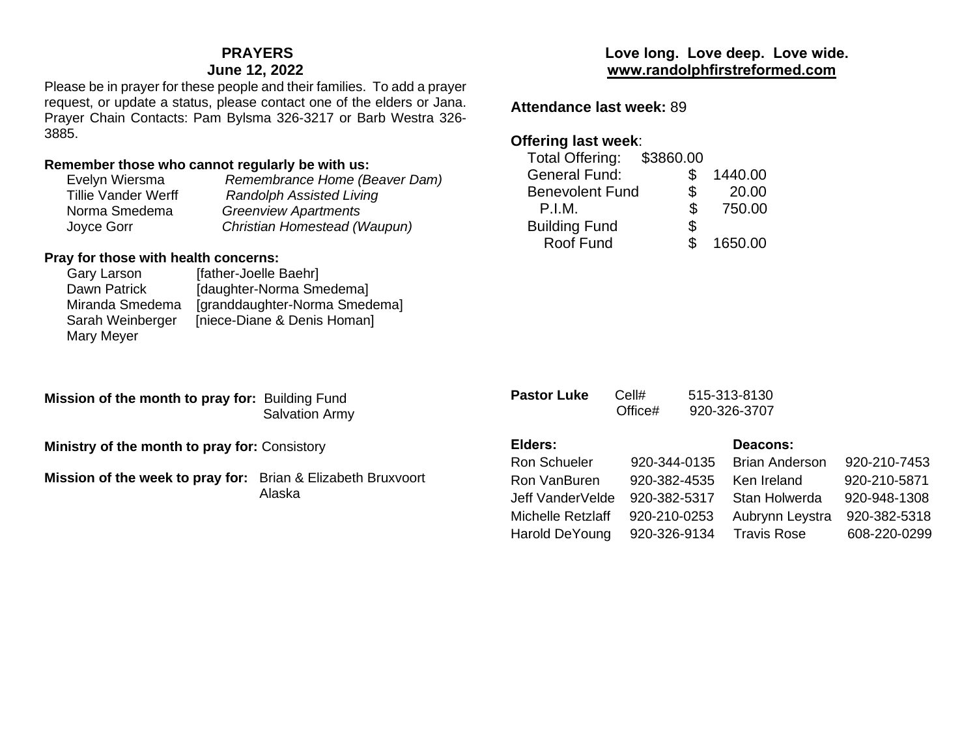## **PRAYERS**

### **June 12, 2022**

Please be in prayer for these people and their families. To add a prayer request, or update a status, please contact one of the elders or Jana. Prayer Chain Contacts: Pam Bylsma 326-3217 or Barb Westra 326- 3885.

### **Remember those who cannot regularly be with us:**

| Evelyn Wiersma             | Remembrance Home (Beaver Dam)   |
|----------------------------|---------------------------------|
| <b>Tillie Vander Werff</b> | <b>Randolph Assisted Living</b> |
| Norma Smedema              | <b>Greenview Apartments</b>     |
| Joyce Gorr                 | Christian Homestead (Waupun)    |

### **Pray for those with health concerns:**

| Gary Larson      | [father-Joelle Baehr]         |
|------------------|-------------------------------|
| Dawn Patrick     | [daughter-Norma Smedema]      |
| Miranda Smedema  | [granddaughter-Norma Smedema] |
| Sarah Weinberger | [niece-Diane & Denis Homan]   |
| Mary Meyer       |                               |
|                  |                               |

**Mission of the month to pray for:** Building Fund Salvation Army

**Ministry of the month to pray for:** Consistory

**Mission of the week to pray for:** Brian & Elizabeth Bruxvoort Alaska

## **Love long. Love deep. Love wide. [www.randolphfirstreformed.com](http://www.randolphfirstreformed.com/)**

**Attendance last week:** 89

## **Offering last week**:

| <b>Total Offering:</b> | \$3860.00 |         |
|------------------------|-----------|---------|
| <b>General Fund:</b>   |           | 1440.00 |
| <b>Benevolent Fund</b> | \$        | 20.00   |
| P.I.M.                 | \$        | 750.00  |
| <b>Building Fund</b>   | \$        |         |
| Roof Fund              |           | 1650.00 |
|                        |           |         |

| <b>Pastor Luke</b>  | Cell#<br>Office# | 515-313-8130<br>920-326-3707 |              |
|---------------------|------------------|------------------------------|--------------|
| Elders:             |                  | Deacons:                     |              |
| <b>Ron Schueler</b> | 920-344-0135     | Brian Anderson               | 920-210-7453 |
| Ron VanBuren        | 920-382-4535     | Ken Ireland                  | 920-210-5871 |
| Jeff VanderVelde    | 920-382-5317     | Stan Holwerda                | 920-948-1308 |
| Michelle Retzlaff   | 920-210-0253     | Aubrynn Leystra              | 920-382-5318 |
| Harold DeYoung      | 920-326-9134     | <b>Travis Rose</b>           | 608-220-0299 |